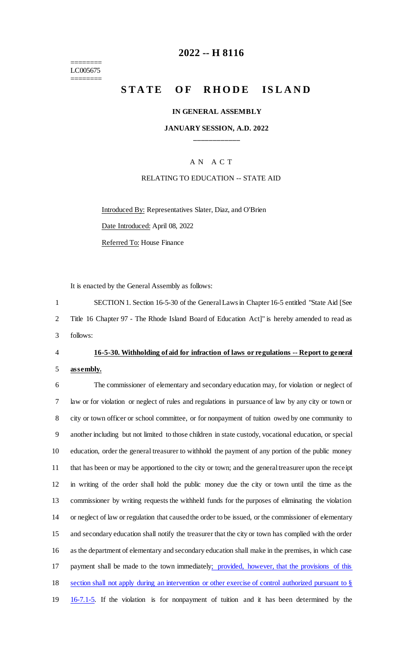======== LC005675 ========

## **2022 -- H 8116**

# **STATE OF RHODE ISLAND**

#### **IN GENERAL ASSEMBLY**

### **JANUARY SESSION, A.D. 2022 \_\_\_\_\_\_\_\_\_\_\_\_**

## A N A C T

#### RELATING TO EDUCATION -- STATE AID

Introduced By: Representatives Slater, Diaz, and O'Brien Date Introduced: April 08, 2022 Referred To: House Finance

It is enacted by the General Assembly as follows:

1 SECTION 1. Section 16-5-30 of the General Laws in Chapter 16-5 entitled "State Aid [See 2 Title 16 Chapter 97 - The Rhode Island Board of Education Act]" is hereby amended to read as 3 follows:

## 4 **16-5-30. Withholding of aid for infraction of laws or regulations -- Report to general**

#### 5 **assembly.**

 The commissioner of elementary and secondary education may, for violation or neglect of law or for violation or neglect of rules and regulations in pursuance of law by any city or town or city or town officer or school committee, or for nonpayment of tuition owed by one community to another including but not limited to those children in state custody, vocational education, or special education, order the general treasurer to withhold the payment of any portion of the public money that has been or may be apportioned to the city or town; and the general treasurer upon the receipt in writing of the order shall hold the public money due the city or town until the time as the commissioner by writing requests the withheld funds for the purposes of eliminating the violation or neglect of law or regulation that caused the order to be issued, or the commissioner of elementary and secondary education shall notify the treasurer that the city or town has complied with the order as the department of elementary and secondary education shall make in the premises, in which case 17 payment shall be made to the town immediately; provided, however, that the provisions of this section shall not apply during an intervention or other exercise of control authorized pursuant to § 16-7.1-5. If the violation is for nonpayment of tuition and it has been determined by the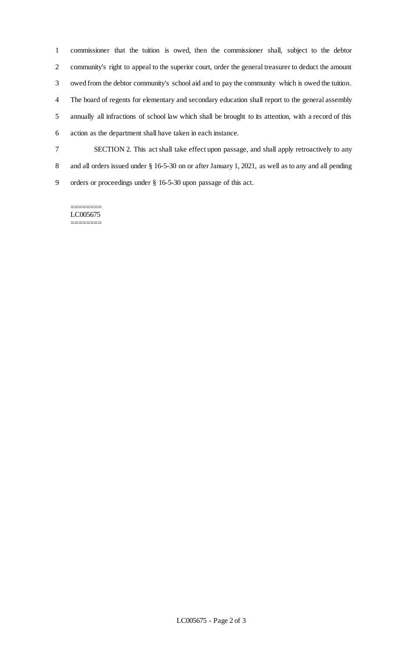commissioner that the tuition is owed, then the commissioner shall, subject to the debtor community's right to appeal to the superior court, order the general treasurer to deduct the amount owed from the debtor community's school aid and to pay the community which is owed the tuition. The board of regents for elementary and secondary education shall report to the general assembly annually all infractions of school law which shall be brought to its attention, with a record of this action as the department shall have taken in each instance. SECTION 2. This act shall take effect upon passage, and shall apply retroactively to any and all orders issued under § 16-5-30 on or after January 1, 2021, as well as to any and all pending

orders or proceedings under § 16-5-30 upon passage of this act.

======== LC005675 ========